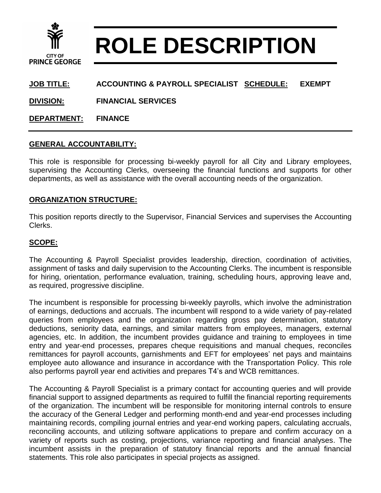

# **ROLE DESCRIPTION**

# **JOB TITLE: ACCOUNTING & PAYROLL SPECIALIST SCHEDULE: EXEMPT**

**DIVISION: FINANCIAL SERVICES**

**DEPARTMENT: FINANCE**

#### **GENERAL ACCOUNTABILITY:**

This role is responsible for processing bi-weekly payroll for all City and Library employees, supervising the Accounting Clerks, overseeing the financial functions and supports for other departments, as well as assistance with the overall accounting needs of the organization.

### **ORGANIZATION STRUCTURE:**

This position reports directly to the Supervisor, Financial Services and supervises the Accounting Clerks.

## **SCOPE:**

The Accounting & Payroll Specialist provides leadership, direction, coordination of activities, assignment of tasks and daily supervision to the Accounting Clerks. The incumbent is responsible for hiring, orientation, performance evaluation, training, scheduling hours, approving leave and, as required, progressive discipline.

The incumbent is responsible for processing bi-weekly payrolls, which involve the administration of earnings, deductions and accruals. The incumbent will respond to a wide variety of pay-related queries from employees and the organization regarding gross pay determination, statutory deductions, seniority data, earnings, and similar matters from employees, managers, external agencies, etc. In addition, the incumbent provides guidance and training to employees in time entry and year-end processes, prepares cheque requisitions and manual cheques, reconciles remittances for payroll accounts, garnishments and EFT for employees' net pays and maintains employee auto allowance and insurance in accordance with the Transportation Policy. This role also performs payroll year end activities and prepares T4's and WCB remittances.

The Accounting & Payroll Specialist is a primary contact for accounting queries and will provide financial support to assigned departments as required to fulfill the financial reporting requirements of the organization. The incumbent will be responsible for monitoring internal controls to ensure the accuracy of the General Ledger and performing month-end and year-end processes including maintaining records, compiling journal entries and year-end working papers, calculating accruals, reconciling accounts, and utilizing software applications to prepare and confirm accuracy on a variety of reports such as costing, projections, variance reporting and financial analyses. The incumbent assists in the preparation of statutory financial reports and the annual financial statements. This role also participates in special projects as assigned.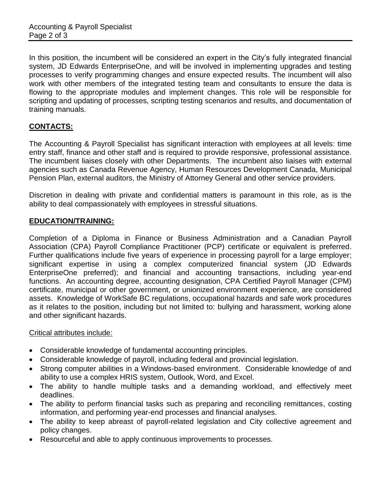In this position, the incumbent will be considered an expert in the City's fully integrated financial system, JD Edwards EnterpriseOne, and will be involved in implementing upgrades and testing processes to verify programming changes and ensure expected results. The incumbent will also work with other members of the integrated testing team and consultants to ensure the data is flowing to the appropriate modules and implement changes. This role will be responsible for scripting and updating of processes, scripting testing scenarios and results, and documentation of training manuals.

# **CONTACTS:**

The Accounting & Payroll Specialist has significant interaction with employees at all levels: time entry staff, finance and other staff and is required to provide responsive, professional assistance. The incumbent liaises closely with other Departments. The incumbent also liaises with external agencies such as Canada Revenue Agency, Human Resources Development Canada, Municipal Pension Plan, external auditors, the Ministry of Attorney General and other service providers.

Discretion in dealing with private and confidential matters is paramount in this role, as is the ability to deal compassionately with employees in stressful situations.

### **EDUCATION/TRAINING:**

Completion of a Diploma in Finance or Business Administration and a Canadian Payroll Association (CPA) Payroll Compliance Practitioner (PCP) certificate or equivalent is preferred. Further qualifications include five years of experience in processing payroll for a large employer; significant expertise in using a complex computerized financial system (JD Edwards EnterpriseOne preferred); and financial and accounting transactions, including year-end functions. An accounting degree, accounting designation, CPA Certified Payroll Manager (CPM) certificate, municipal or other government, or unionized environment experience, are considered assets. Knowledge of WorkSafe BC regulations, occupational hazards and safe work procedures as it relates to the position, including but not limited to: bullying and harassment, working alone and other significant hazards.

#### Critical attributes include:

- Considerable knowledge of fundamental accounting principles.
- Considerable knowledge of payroll, including federal and provincial legislation.
- Strong computer abilities in a Windows-based environment. Considerable knowledge of and ability to use a complex HRIS system, Outlook, Word, and Excel.
- The ability to handle multiple tasks and a demanding workload, and effectively meet deadlines.
- The ability to perform financial tasks such as preparing and reconciling remittances, costing information, and performing year-end processes and financial analyses.
- The ability to keep abreast of payroll-related legislation and City collective agreement and policy changes.
- Resourceful and able to apply continuous improvements to processes.